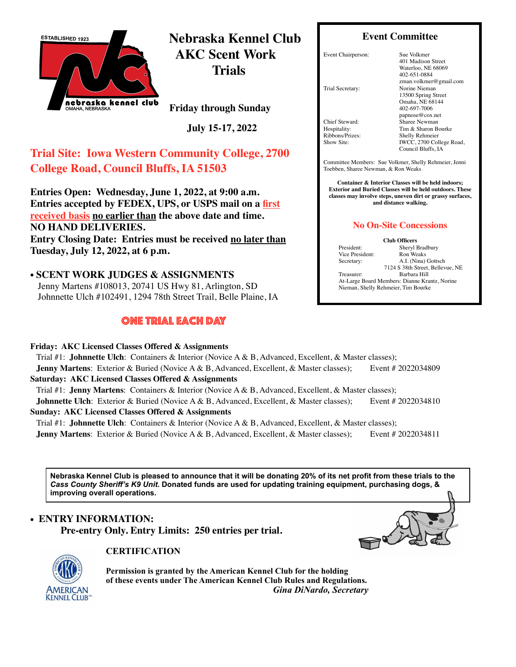

**Nebraska Kennel Club AKC Scent Work Trials**

**Friday through Sunday** 

 **July 15-17, 2022**

# **Trial Site: Iowa Western Community College, 2700 College Road, Council Bluffs, IA 51503**

**Entries Open: Wednesday, June 1, 2022, at 9:00 a.m. Entries accepted by FEDEX, UPS, or USPS mail on a first received basis no earlier than the above date and time. NO HAND DELIVERIES. Entry Closing Date: Entries must be received no later than Tuesday, July 12, 2022, at 6 p.m.**

• **SCENT WORK JUDGES & ASSIGNMENTS** Jenny Martens #108013, 20741 US Hwy 81, Arlington, SD Johnnette Ulch #102491, 1294 78th Street Trail, Belle Plaine, IA

## one trial each day

**Friday: AKC Licensed Classes Offered & Assignments**

#### **Event Committee**

Event Chairperson: Sue Volkmer

Trial Secretary: Norine Nieman

Chief Steward: Sharee Newman<br>Hospitality: Tim & Sharon B

401 Madison Street Waterloo, NE 68069 402-651-0884 zman.volkmer@gmail.com 13500 Spring Street Omaha, NE 68144 402-697-7006 [papnose@cox.net](mailto:nanieman@cox.net) Hospitality: Tim & Sharon Bourke<br>
Ribbons/Prizes: Shelly Rehmeier Ribbons/Prizes: Shelly Rehmeier<br>Show Site: IWCC. 2700 Coll IWCC, 2700 College Road, Council Bluffs, IA

Committee Members: Sue Volkmer, Shelly Rehmeier, Jenni Toebben, Sharee Newman, & Ron Weaks

**Container & Interior Classes will be held indoors; Exterior and Buried Classes will be held outdoors. These classes may involve steps, uneven dirt or grassy surfaces, and distance walking.** 

#### **No On-Site Concessions**

**Club Officers**

Nieman, Shelly Rehmeier, Tim Bourke

President: Sheryl Bradbury Vice President: Ron Weaks Secretary: A.I. (Nina) Gottsch 7124 S 38th Street, Bellevue, NE Treasurer: Barbara Hill At-Large Board Members: Dianne Krantz, Norine

Trial #1: **Johnnette Ulch**:Containers & Interior (Novice A & B, Advanced, Excellent, & Master classes); **Jenny Martens**: Exterior & Buried (Novice A & B, Advanced, Excellent, & Master classes); Event # 2022034809 **Saturday: AKC Licensed Classes Offered & Assignments** Trial #1: **Jenny Martens**:Containers & Interior (Novice A & B, Advanced, Excellent, & Master classes); **Johnnette Ulch**: Exterior & Buried (Novice A & B, Advanced, Excellent, & Master classes); Event # 2022034810 **Sunday: AKC Licensed Classes Offered & Assignments** Trial #1: **Johnnette Ulch**:Containers & Interior (Novice A & B, Advanced, Excellent, & Master classes); **Jenny Martens**: Exterior & Buried (Novice A & B, Advanced, Excellent, & Master classes); Event # 2022034811

**Nebraska Kennel Club is pleased to announce that it will be donating 20% of its net profit from these trials to the**  *Cass County Sheriff's K9 Unit***. Donated funds are used for updating training equipment, purchasing dogs, & improving overall operations.**

## • **ENTRY INFORMATION: Pre-entry Only. Entry Limits: 250 entries per trial.**



#### **CERTIFICATION**

**Permission is granted by the American Kennel Club for the holding of these events under The American Kennel Club Rules and Regulations.**  *Gina DiNardo, Secretary*

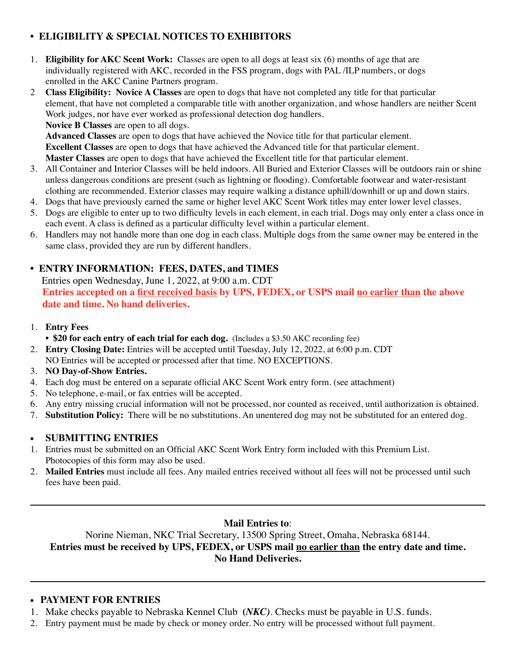## **• ELIGIBILITY & SPECIAL NOTICES TO EXHIBITORS**

- 1. **Eligibility for AKC Scent Work:** Classes are open to all dogs at least six (6) months of age that are individually registered with AKC, recorded in the FSS program, dogs with PAL /ILP numbers, or dogs enrolled in the AKC Canine Partners program.
- 2 **Class Eligibility: Novice A Classes** are open to dogs that have not completed any title for that particular element, that have not completed a comparable title with another organization, and whose handlers are neither Scent Work judges, nor have ever worked as professional detection dog handlers. **Novice B Classes** are open to all dogs.

**Advanced Classes** are open to dogs that have achieved the Novice title for that particular element. **Excellent Classes** are open to dogs that have achieved the Advanced title for that particular element. **Master Classes** are open to dogs that have achieved the Excellent title for that particular element.

- 3. All Container and Interior Classes will be held indoors. All Buried and Exterior Classes will be outdoors rain or shine unless dangerous conditions are present (such as lightning or flooding). Comfortable footwear and water-resistant clothing are recommended. Exterior classes may require walking a distance uphill/downhill or up and down stairs.
- 4. Dogs that have previously earned the same or higher level AKC Scent Work titles may enter lower level classes.
- 5. Dogs are eligible to enter up to two difficulty levels in each element, in each trial. Dogs may only enter a class once in each event. A class is defined as a particular difficulty level within a particular element.
- 6. Handlers may not handle more than one dog in each class. Multiple dogs from the same owner may be entered in the same class, provided they are run by different handlers.

## **• ENTRY INFORMATION: FEES, DATES, and TIMES**

Entries open Wednesday, June 1, 2022, at 9:00 a.m. CDT **Entries accepted on a first received basis by UPS, FEDEX, or USPS mail no earlier than the above date and time. No hand deliveries.**

- 1. **Entry Fees**
	- **\$20 for each entry of each trial for each dog.** (Includes a \$3.50 AKC recording fee)
- 2. **Entry Closing Date:** Entries will be accepted until Tuesday, July 12, 2022, at 6:00 p.m. CDT NO Entries will be accepted or processed after that time. NO EXCEPTIONS.
- 3. **NO Day-of-Show Entries.**
- 4. Each dog must be entered on a separate official AKC Scent Work entry form. (see attachment)
- 5. No telephone, e-mail, or fax entries will be accepted.
- 6. Any entry missing crucial information will not be processed, nor counted as received, until authorization is obtained.
- 7. **Substitution Policy:** There will be no substitutions. An unentered dog may not be substituted for an entered dog.

#### • **SUBMITTING ENTRIES**

- 1. Entries must be submitted on an Official AKC Scent Work Entry form included with this Premium List. Photocopies of this form may also be used.
- 2. **Mailed Entries** must include all fees. Any mailed entries received without all fees will not be processed until such fees have been paid.

#### **Mail Entries to**:

Norine Nieman, NKC Trial Secretary, 13500 Spring Street, Omaha, Nebraska 68144. **Entries must be received by UPS, FEDEX, or USPS mail no earlier than the entry date and time. No Hand Deliveries.**

#### • **PAYMENT FOR ENTRIES**

- 1. Make checks payable to Nebraska Kennel Club **(***NKC)*. Checks must be payable in U.S. funds.
- 2. Entry payment must be made by check or money order. No entry will be processed without full payment.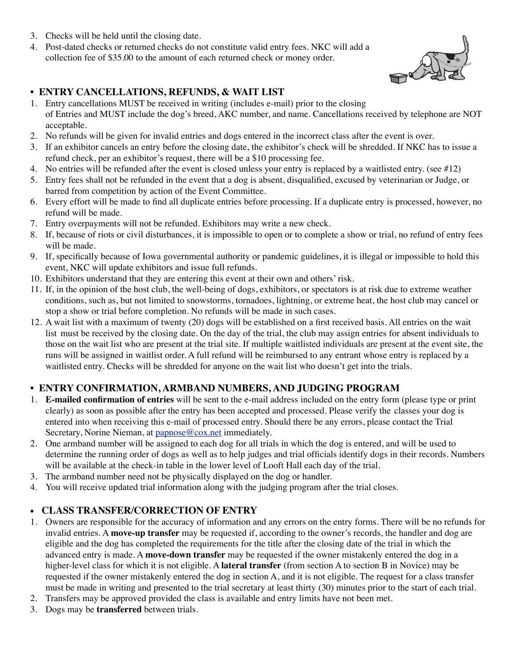- 3. Checks will be held until the closing date.
- 4. Post-dated checks or returned checks do not constitute valid entry fees. NKC will add a collection fee of \$35.00 to the amount of each returned check or money order.

## **• ENTRY CANCELLATIONS, REFUNDS, & WAIT LIST**

- 1. Entry cancellations MUST be received in writing (includes e-mail) prior to the closing of Entries and MUST include the dog's breed, AKC number, and name. Cancellations received by telephone are NOT acceptable.
- 2. No refunds will be given for invalid entries and dogs entered in the incorrect class after the event is over.
- 3. If an exhibitor cancels an entry before the closing date, the exhibitor's check will be shredded. If NKC has to issue a refund check, per an exhibitor's request, there will be a \$10 processing fee.
- 4. No entries will be refunded after the event is closed unless your entry is replaced by a waitlisted entry. (see #12)
- 5. Entry fees shall not be refunded in the event that a dog is absent, disqualified, excused by veterinarian or Judge, or barred from competition by action of the Event Committee.
- 6. Every effort will be made to find all duplicate entries before processing. If a duplicate entry is processed, however, no refund will be made.
- 7. Entry overpayments will not be refunded. Exhibitors may write a new check.
- 8. If, because of riots or civil disturbances, it is impossible to open or to complete a show or trial, no refund of entry fees will be made.
- 9. If, specifically because of Iowa governmental authority or pandemic guidelines, it is illegal or impossible to hold this event, NKC will update exhibitors and issue full refunds.
- 10. Exhibitors understand that they are entering this event at their own and others' risk.
- 11. If, in the opinion of the host club, the well-being of dogs, exhibitors, or spectators is at risk due to extreme weather conditions, such as, but not limited to snowstorms, tornadoes, lightning, or extreme heat, the host club may cancel or stop a show or trial before completion. No refunds will be made in such cases.
- 12. A wait list with a maximum of twenty (20) dogs will be established on a first received basis. All entries on the wait list must be received by the closing date. On the day of the trial, the club may assign entries for absent individuals to those on the wait list who are present at the trial site. If multiple waitlisted individuals are present at the event site, the runs will be assigned in waitlist order. A full refund will be reimbursed to any entrant whose entry is replaced by a waitlisted entry. Checks will be shredded for anyone on the wait list who doesn't get into the trials.

## **• ENTRY CONFIRMATION, ARMBAND NUMBERS, AND JUDGING PROGRAM**

- 1. **E-mailed confirmation of entries** will be sent to the e-mail address included on the entry form (please type or print clearly) as soon as possible after the entry has been accepted and processed. Please verify the classes your dog is entered into when receiving this e-mail of processed entry. Should there be any errors, please contact the Trial Secretary, Norine Nieman, at [papnose@cox.net](mailto:nanieman@cox.net) immediately.
- 2. One armband number will be assigned to each dog for all trials in which the dog is entered, and will be used to determine the running order of dogs as well as to help judges and trial officials identify dogs in their records. Numbers will be available at the check-in table in the lower level of Looft Hall each day of the trial.
- 3. The armband number need not be physically displayed on the dog or handler.
- 4. You will receive updated trial information along with the judging program after the trial closes.

## • **CLASS TRANSFER/CORRECTION OF ENTRY**

- 1. Owners are responsible for the accuracy of information and any errors on the entry forms. There will be no refunds for invalid entries. A **move-up transfer** may be requested if, according to the owner's records, the handler and dog are eligible and the dog has completed the requirements for the title after the closing date of the trial in which the advanced entry is made. A **move-down transfer** may be requested if the owner mistakenly entered the dog in a higher-level class for which it is not eligible. A **lateral transfer** (from section A to section B in Novice) may be requested if the owner mistakenly entered the dog in section A, and it is not eligible. The request for a class transfer must be made in writing and presented to the trial secretary at least thirty (30) minutes prior to the start of each trial.
- 2. Transfers may be approved provided the class is available and entry limits have not been met.
- 3. Dogs may be **transferred** between trials.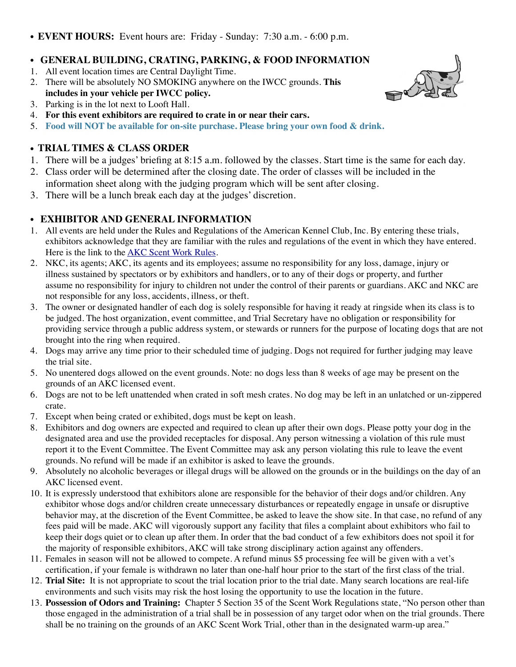• **EVENT HOURS:** Event hours are: Friday - Sunday: 7:30 a.m. - 6:00 p.m.

#### • **GENERAL BUILDING, CRATING, PARKING, & FOOD INFORMATION**

- 1. All event location times are Central Daylight Time.
- 2. There will be absolutely NO SMOKING anywhere on the IWCC grounds. **This includes in your vehicle per IWCC policy.**
- 3. Parking is in the lot next to Looft Hall.
- 4. **For this event exhibitors are required to crate in or near their cars.**
- 5. **Food will NOT be available for on-site purchase. Please bring your own food & drink.**

#### • **TRIAL TIMES & CLASS ORDER**

- 1. There will be a judges' briefing at 8:15 a.m. followed by the classes. Start time is the same for each day.
- 2. Class order will be determined after the closing date. The order of classes will be included in the information sheet along with the judging program which will be sent after closing.
- 3. There will be a lunch break each day at the judges' discretion.

#### • **EXHIBITOR AND GENERAL INFORMATION**

- 1. All events are held under the Rules and Regulations of the American Kennel Club, Inc. By entering these trials, exhibitors acknowledge that they are familiar with the rules and regulations of the event in which they have entered. Here is the link to the **AKC Scent Work Rules**.
- 2. NKC, its agents; AKC, its agents and its employees; assume no responsibility for any loss, damage, injury or illness sustained by spectators or by exhibitors and handlers, or to any of their dogs or property, and further assume no responsibility for injury to children not under the control of their parents or guardians. AKC and NKC are not responsible for any loss, accidents, illness, or theft.
- 3. The owner or designated handler of each dog is solely responsible for having it ready at ringside when its class is to be judged. The host organization, event committee, and Trial Secretary have no obligation or responsibility for providing service through a public address system, or stewards or runners for the purpose of locating dogs that are not brought into the ring when required.
- 4. Dogs may arrive any time prior to their scheduled time of judging. Dogs not required for further judging may leave the trial site.
- 5. No unentered dogs allowed on the event grounds. Note: no dogs less than 8 weeks of age may be present on the grounds of an AKC licensed event.
- 6. Dogs are not to be left unattended when crated in soft mesh crates. No dog may be left in an unlatched or un-zippered crate.
- 7. Except when being crated or exhibited, dogs must be kept on leash.
- 8. Exhibitors and dog owners are expected and required to clean up after their own dogs. Please potty your dog in the designated area and use the provided receptacles for disposal. Any person witnessing a violation of this rule must report it to the Event Committee. The Event Committee may ask any person violating this rule to leave the event grounds. No refund will be made if an exhibitor is asked to leave the grounds.
- 9. Absolutely no alcoholic beverages or illegal drugs will be allowed on the grounds or in the buildings on the day of an AKC licensed event.
- 10. It is expressly understood that exhibitors alone are responsible for the behavior of their dogs and/or children. Any exhibitor whose dogs and/or children create unnecessary disturbances or repeatedly engage in unsafe or disruptive behavior may, at the discretion of the Event Committee, be asked to leave the show site. In that case, no refund of any fees paid will be made. AKC will vigorously support any facility that files a complaint about exhibitors who fail to keep their dogs quiet or to clean up after them. In order that the bad conduct of a few exhibitors does not spoil it for the majority of responsible exhibitors, AKC will take strong disciplinary action against any offenders.
- 11. Females in season will not be allowed to compete. A refund minus \$5 processing fee will be given with a vet's certification, if your female is withdrawn no later than one-half hour prior to the start of the first class of the trial.
- 12. **Trial Site:** It is not appropriate to scout the trial location prior to the trial date. Many search locations are real-life environments and such visits may risk the host losing the opportunity to use the location in the future.
- 13. **Possession of Odors and Training:** Chapter 5 Section 35 of the Scent Work Regulations state, "No person other than those engaged in the administration of a trial shall be in possession of any target odor when on the trial grounds. There shall be no training on the grounds of an AKC Scent Work Trial, other than in the designated warm-up area."